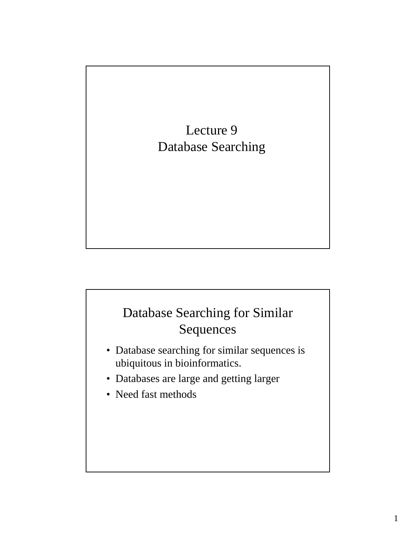

#### Database Searching for Similar Sequences

- Database searching for similar sequences is ubiquitous in bioinformatics.
- Databases are large and getting larger
- Need fast methods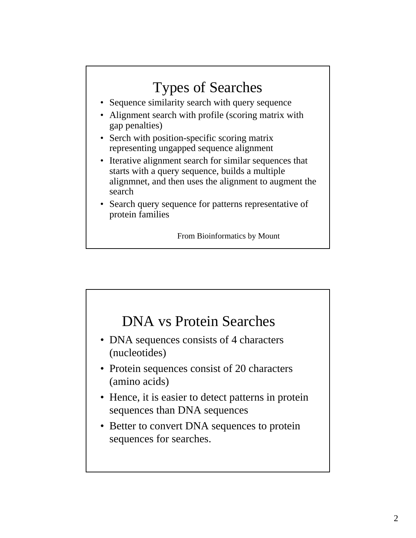#### Types of Searches • Sequence similarity search with query sequence • Alignment search with profile (scoring matrix with gap penalties) • Serch with position-specific scoring matrix representing ungapped sequence alignment • Iterative alignment search for similar sequences that starts with a query sequence, builds a multiple alignmnet, and then uses the alignment to augment the search • Search query sequence for patterns representative of protein families

From Bioinformatics by Mount

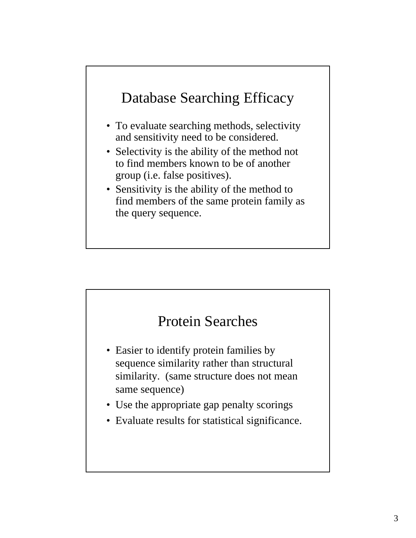#### Database Searching Efficacy

- To evaluate searching methods, selectivity and sensitivity need to be considered.
- Selectivity is the ability of the method not to find members known to be of another group (i.e. false positives).
- Sensitivity is the ability of the method to find members of the same protein family as the query sequence.



- Easier to identify protein families by sequence similarity rather than structural similarity. (same structure does not mean same sequence)
- Use the appropriate gap penalty scorings
- Evaluate results for statistical significance.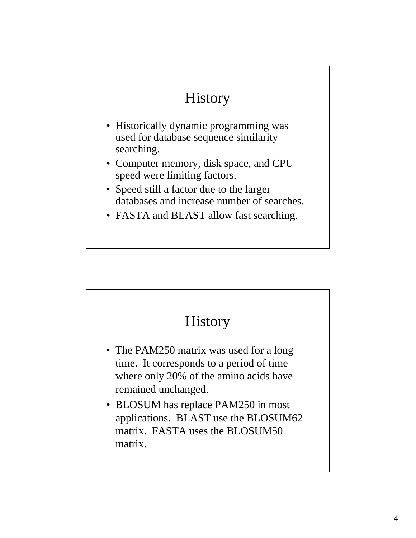# History

- Historically dynamic programming was used for database sequence similarity searching.
- Computer memory, disk space, and CPU speed were limiting factors.
- Speed still a factor due to the larger databases and increase number of searches.
- FASTA and BLAST allow fast searching.

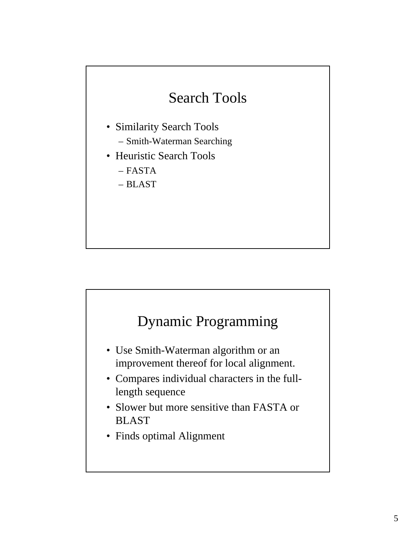# Search Tools

- Similarity Search Tools – Smith-Waterman Searching
- Heuristic Search Tools
	- FASTA
	- BLAST

#### Dynamic Programming

- Use Smith-Waterman algorithm or an improvement thereof for local alignment.
- Compares individual characters in the fulllength sequence
- Slower but more sensitive than FASTA or BLAST
- Finds optimal Alignment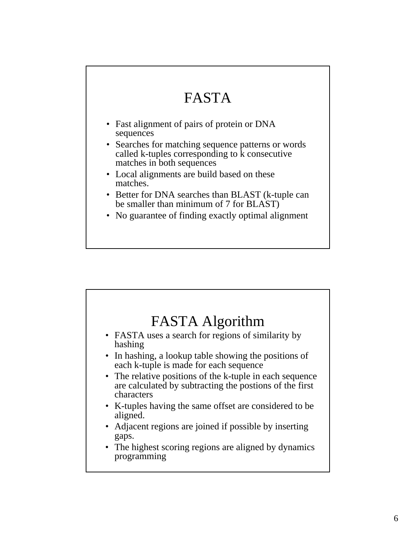# FASTA

- Fast alignment of pairs of protein or DNA sequences
- Searches for matching sequence patterns or words called k-tuples corresponding to  $\hat{k}$  consecutive matches in both sequences
- Local alignments are build based on these matches.
- Better for DNA searches than BLAST (k-tuple can be smaller than minimum of 7 for BLAST)
- No guarantee of finding exactly optimal alignment

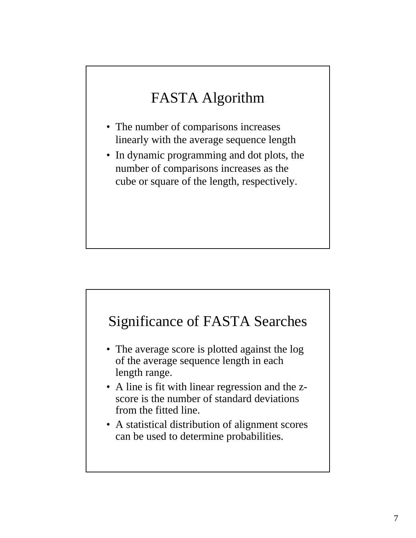# FASTA Algorithm

- The number of comparisons increases linearly with the average sequence length
- In dynamic programming and dot plots, the number of comparisons increases as the cube or square of the length, respectively.

#### Significance of FASTA Searches

- The average score is plotted against the log of the average sequence length in each length range.
- A line is fit with linear regression and the zscore is the number of standard deviations from the fitted line.
- A statistical distribution of alignment scores can be used to determine probabilities.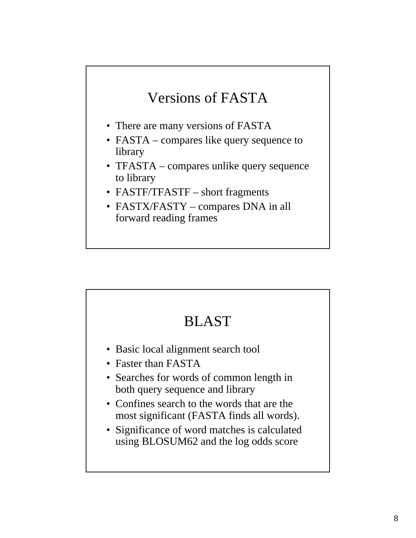# Versions of FASTA

- There are many versions of FASTA
- FASTA compares like query sequence to library
- TFASTA compares unlike query sequence to library
- FASTF/TFASTF short fragments
- FASTX/FASTY compares DNA in all forward reading frames

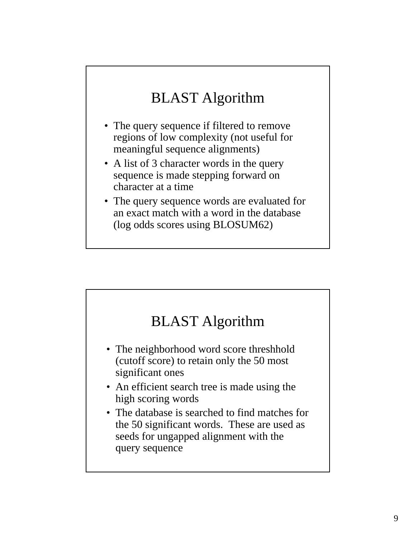# BLAST Algorithm

- The query sequence if filtered to remove regions of low complexity (not useful for meaningful sequence alignments)
- A list of 3 character words in the query sequence is made stepping forward on character at a time
- The query sequence words are evaluated for an exact match with a word in the database (log odds scores using BLOSUM62)

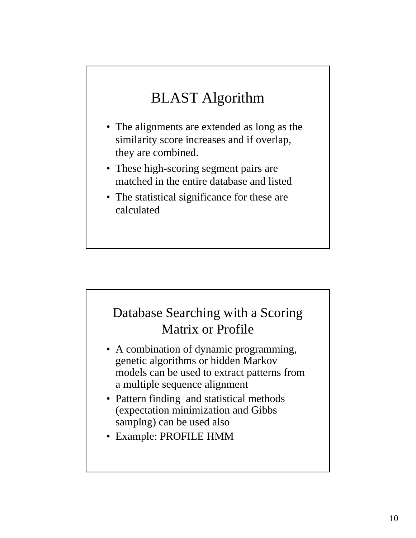# BLAST Algorithm

- The alignments are extended as long as the similarity score increases and if overlap, they are combined.
- These high-scoring segment pairs are matched in the entire database and listed
- The statistical significance for these are calculated

#### Database Searching with a Scoring Matrix or Profile

- A combination of dynamic programming, genetic algorithms or hidden Markov models can be used to extract patterns from a multiple sequence alignment
- Pattern finding and statistical methods (expectation minimization and Gibbs samplng) can be used also
- Example: PROFILE HMM